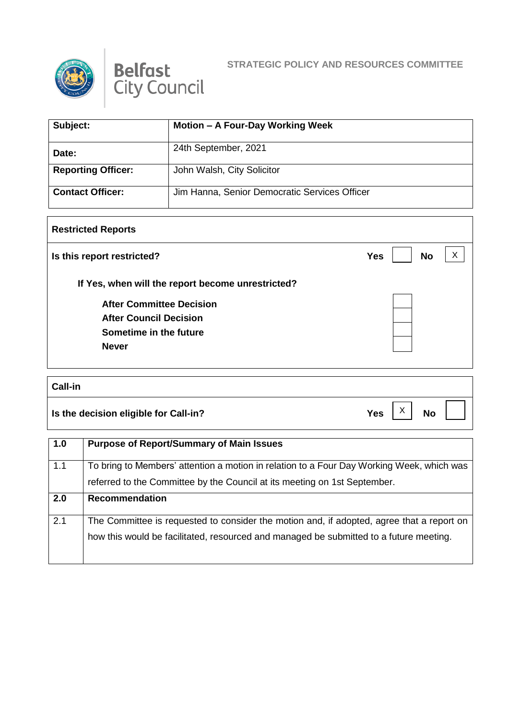



## **STRATEGIC POLICY AND RESOURCES COMMITTEE**

| Subject:                  | Motion - A Four-Day Working Week              |
|---------------------------|-----------------------------------------------|
| Date:                     | 24th September, 2021                          |
| <b>Reporting Officer:</b> | John Walsh, City Solicitor                    |
| <b>Contact Officer:</b>   | Jim Hanna, Senior Democratic Services Officer |

## **Restricted Reports**

| Is this report restricted?                        | <b>No</b><br><b>Yes</b> |  |
|---------------------------------------------------|-------------------------|--|
| If Yes, when will the report become unrestricted? |                         |  |
| <b>After Committee Decision</b>                   |                         |  |
| <b>After Council Decision</b>                     |                         |  |
| Sometime in the future                            |                         |  |
| <b>Never</b>                                      |                         |  |

## **Call-in**

**Is the decision eligible for Call-in?**  $Yes \begin{bmatrix} X \\ Y \end{bmatrix}$  No

X

H

| 1.0 | <b>Purpose of Report/Summary of Main Issues</b>                                           |
|-----|-------------------------------------------------------------------------------------------|
| 1.1 | To bring to Members' attention a motion in relation to a Four Day Working Week, which was |
|     | referred to the Committee by the Council at its meeting on 1st September.                 |
| 2.0 | <b>Recommendation</b>                                                                     |
| 2.1 | The Committee is requested to consider the motion and, if adopted, agree that a report on |
|     | how this would be facilitated, resourced and managed be submitted to a future meeting.    |